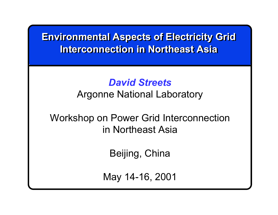# **Environmental Aspects of Electricity Grid Environmental Aspects of Electricity Grid Interconnection in Northeast Asia**

# *David Streets*

Argonne National Laboratory

Workshop on Power Grid Interconnection in Northeast Asia

Beijing, China

May 14-16, 2001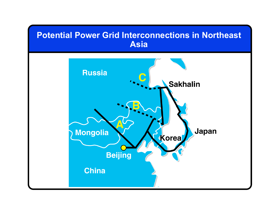

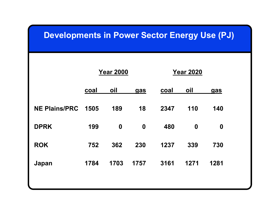| <b>Developments in Power Sector Energy Use (PJ)</b> |                  |                  |                  |                  |                  |                  |  |
|-----------------------------------------------------|------------------|------------------|------------------|------------------|------------------|------------------|--|
|                                                     | <b>Year 2000</b> |                  |                  | <b>Year 2020</b> |                  |                  |  |
|                                                     | <u>coal</u>      | <u>oil</u>       | <u>gas</u>       | <u>coal</u>      | <u>oil</u>       | <u>gas</u>       |  |
| <b>NE Plains/PRC</b>                                | 1505             | 189              | 18               | 2347             | 110              | 140              |  |
| <b>DPRK</b>                                         | 199              | $\boldsymbol{0}$ | $\boldsymbol{0}$ | 480              | $\boldsymbol{0}$ | $\boldsymbol{0}$ |  |
| <b>ROK</b>                                          | 752              | 362              | 230              | 1237             | 339              | 730              |  |
| Japan                                               | 1784             | 1703             | 1757             | 3161             | 1271             | 1281             |  |
|                                                     |                  |                  |                  |                  |                  |                  |  |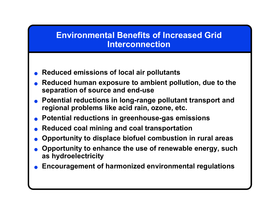#### **Environmental Benefits of Increased Grid Interconnection**

- ●**Reduced emissions of local air pollutants**
- ● **Reduced human exposure to a mbient pollution, due to the separ ation of source and end-use**
- **Potential reductions in long-range pollutant transport and regional problems like acid rain, ozone, etc.**
- **Potential reductions in greenhouse-gas emissions**
- **Reduced coal mining and coal transportation**
- ●**Opportunity to displace biofuel combustion in rural areas**
- ● **Opportunity to enhance the use of renewable energy, such as hydroelectricity**
- ●**Encouragement of harmonized environmental regulations**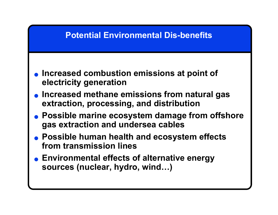## **Potential Environmental Dis-benefits**

- **Increased combustion emissions at point of electricity generation**
- **Increased methane emissions from natural gas extraction, processing, and distribution**
- **Possible marine ecosystem damage from offshore gas extraction and undersea cables**
- **Possible human health and ecosystem effects from transmission lines**
- **Environmental effects of alternative energy sources (nuclear, hydro, wind…)**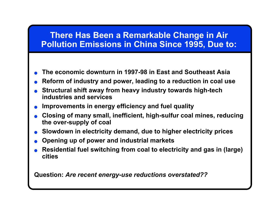#### **There Has Been a Remarkable Change in Air Pollution Emissions in China Since 1995, Due to:**

- ●**The economic downturn in 1997-98 in East and Southeast Asia**
- ●**Reform of industry and power, leading to a reduction in coal use**
- ● **Structural shift away from heavy industry towards high-tech industries and services**
- ●**Improvements in energy efficiency and fuel quality**
- ● **Closing of m any small, inefficient, high-sulfur coal mines, reducing the over-supply of coal**
- ●**Slowdown in electricity demand, due to higher electricity prices**
- **Opening up of power and industrial markets**
- ● **Residential fuel switching from coal to electricity and gas in (large) cities**

**Question:** *Are recent energy-use reductions overstated??*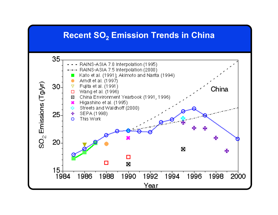#### **Recent SO2 Emission Trends in China**

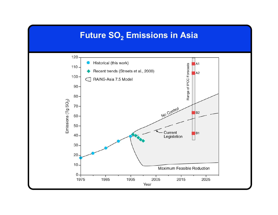#### **Future SO2 Emissions in Asia**

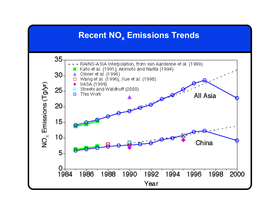## **Recent NOx Emissions Trends**

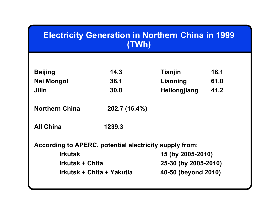| <b>Electricity Generation in Northern China in 1999</b><br>(TWh) |                     |                                                                                                       |  |  |  |
|------------------------------------------------------------------|---------------------|-------------------------------------------------------------------------------------------------------|--|--|--|
|                                                                  |                     |                                                                                                       |  |  |  |
| 14.3                                                             | <b>Tianjin</b>      | 18.1                                                                                                  |  |  |  |
| 38.1                                                             | Liaoning            | 61.0                                                                                                  |  |  |  |
| 30.0                                                             | <b>Heilongjiang</b> | 41.2                                                                                                  |  |  |  |
| 202.7 (16.4%)                                                    |                     |                                                                                                       |  |  |  |
| 1239.3                                                           |                     |                                                                                                       |  |  |  |
|                                                                  |                     |                                                                                                       |  |  |  |
|                                                                  | 15 (by 2005-2010)   |                                                                                                       |  |  |  |
| <b>Irkutsk + Chita</b>                                           |                     |                                                                                                       |  |  |  |
| Irkutsk + Chita + Yakutia                                        |                     |                                                                                                       |  |  |  |
|                                                                  |                     | According to APERC, potential electricity supply from:<br>25-30 (by 2005-2010)<br>40-50 (beyond 2010) |  |  |  |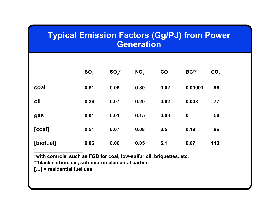#### **Typical Emission Factors (Gg/PJ) from Power Generation**

|           | SO <sub>2</sub> | $SO_2^*$ | NO <sub>x</sub> | CO   | <b>BC**</b>      | CO <sub>2</sub> |
|-----------|-----------------|----------|-----------------|------|------------------|-----------------|
| coal      | 0.61            | 0.06     | 0.30            | 0.02 | 0.00001          | 96              |
| oil       | 0.26            | 0.07     | 0.20            | 0.02 | 0.008            | 77              |
| gas       | 0.01            | 0.01     | 0.15            | 0.03 | $\boldsymbol{0}$ | 56              |
| [coal]    | 0.51            | 0.07     | 0.08            | 3.5  | 0.18             | 96              |
| [biofuel] | 0.06            | 0.06     | 0.05            | 5.1  | 0.07             | 110             |

**\*with controls, such as FGD for coal, low-sulfur oil, briquettes, etc.**

**\*\*black carbon, i.e., sub-micron elemental carbon**

**[…] = residential fuel use**

**\_\_\_\_\_\_\_\_\_\_\_\_\_\_\_\_\_\_**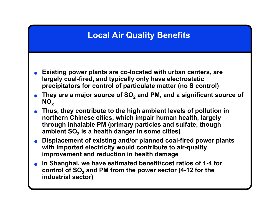## **Local Air Quality Benefits**

- ● **Existing power plants are co-located with urban centers, are largely coal-fired, and typically only have electrostatic precipitators for control of particulate matter (no S control)**
- **They are a major source of SO 2 and PM, and a significant source of**   $\mathsf{NO}_\mathsf{x}$
- ● **Thus, they contribute to the high ambient levels of pollution in northern Chinese cities, which impair human health, largely through inhalable PM (primary particles and sulfate, though ambient SO 2 is a health danger in some cities)**
- **Displacement of existing and/or planned coal-fired power plants with imported electricity would contribute to air-quality improvement and reduction in health damage**
- **In Shanghai, we have estimated benefit/cost ratios of 1-4 for control of SO 2 and PM from the power sector (4-12 for the industrial sector)**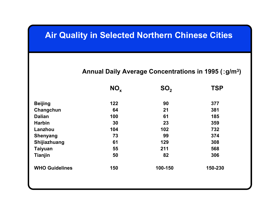#### **Air Quality in Selected Northern Chinese Cities**

#### **Annual Daily Average Concentrations in 1995 (**:**g/m 3)**

|                       | $NO_{x}$ | SO <sub>2</sub> | <b>TSP</b> |  |
|-----------------------|----------|-----------------|------------|--|
| <b>Beijing</b>        | 122      | 90              | 377        |  |
| Changchun             | 64       | 21              | 381        |  |
| <b>Dalian</b>         | 100      | 61              | 185        |  |
| <b>Harbin</b>         | 30       | 23              | 359        |  |
| Lanzhou               | 104      | 102             | 732        |  |
| <b>Shenyang</b>       | 73       | 99              | 374        |  |
| Shijiazhuang          | 61       | 129             | 308        |  |
| <b>Taiyuan</b>        | 55       | 211             | 568        |  |
| <b>Tianjin</b>        | 50       | 82              | 306        |  |
| <b>WHO Guidelines</b> | 150      | 100-150         | 150-230    |  |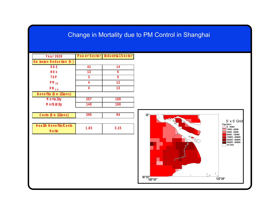#### Change in Mortality due to PM Control in Shanghai

| PowerSector IndustrialSector<br><b>Year 2020</b> |
|--------------------------------------------------|
|                                                  |
| Em ission Reduction (%)                          |
| $S$ O $2$<br>41<br>14                            |
| 13<br>6<br><b>NOX</b>                            |
| 9<br><b>TSP</b><br>$\overline{3}$                |
| 12<br>$\overline{\mathbf{4}}$<br>$PM_{10}$       |
| 13<br>$\overline{\mathbf{4}}$<br>$PM_{2.5}$      |
| Benefits (\$ m illions)                          |
| 257<br>M ortality<br>188                         |
| M orbidity<br>148<br>108                         |
|                                                  |
| 395<br>94<br>$C$ osts $(\frac{1}{2}$ m illions)  |
|                                                  |
| Health Benefits/Costs<br>1.03<br>3.15            |
| Ratio                                            |
|                                                  |
|                                                  |
|                                                  |
|                                                  |
|                                                  |
|                                                  |
|                                                  |
|                                                  |
|                                                  |
|                                                  |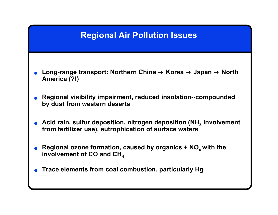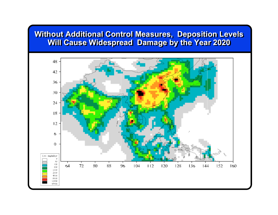#### **Without Additional Control Measures, Deposition Levels Without Additional Control Measures, Deposition Levels Will Cause Widespread Damage by the Year 2020 Will Cause Widespread Damage by the Year 2020**

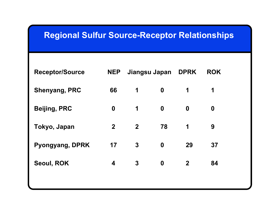| <b>Regional Sulfur Source-Receptor Relationships</b> |                  |              |                  |                |                  |  |
|------------------------------------------------------|------------------|--------------|------------------|----------------|------------------|--|
| <b>Receptor/Source</b>                               | <b>NEP</b>       |              | Jiangsu Japan    | <b>DPRK</b>    | <b>ROK</b>       |  |
| <b>Shenyang, PRC</b>                                 | 66               | 1            | $\boldsymbol{0}$ | 1              | 1                |  |
| <b>Beijing, PRC</b>                                  | $\boldsymbol{0}$ | 1            | $\boldsymbol{0}$ | $\mathbf 0$    | $\boldsymbol{0}$ |  |
| Tokyo, Japan                                         | $\mathbf{2}$     | $\mathbf{2}$ | 78               | 1              | 9                |  |
| Pyongyang, DPRK                                      | 17               | $\mathbf{3}$ | $\boldsymbol{0}$ | 29             | 37               |  |
| Seoul, ROK                                           | 4                | $\mathbf 3$  | $\boldsymbol{0}$ | $\overline{2}$ | 84               |  |
|                                                      |                  |              |                  |                |                  |  |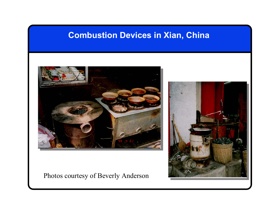#### **Combustion Devices in Xian, China**



#### Photos courtesy of Beverly Anderson

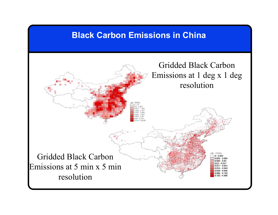#### **Black Carbon Emissions in China**

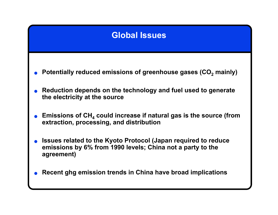## **Global Issues**

- ●**•** Potentially reduced emissions of greenhouse gases (CO<sub>2</sub> mainly)
- ● **Reduction depends on the technology and fuel used to generate the electricity at the source**
- ●**•** Emissions of CH<sub>4</sub> could increase if natural gas is the source (from **extraction, processing, and distribution**
- ● **Issues related to the Kyoto Protocol (Japan required to reduce emissions by 6% from 1990 levels; China not a party to the agreement)**
- ●**Recent ghg emission trends in China have broad implications**